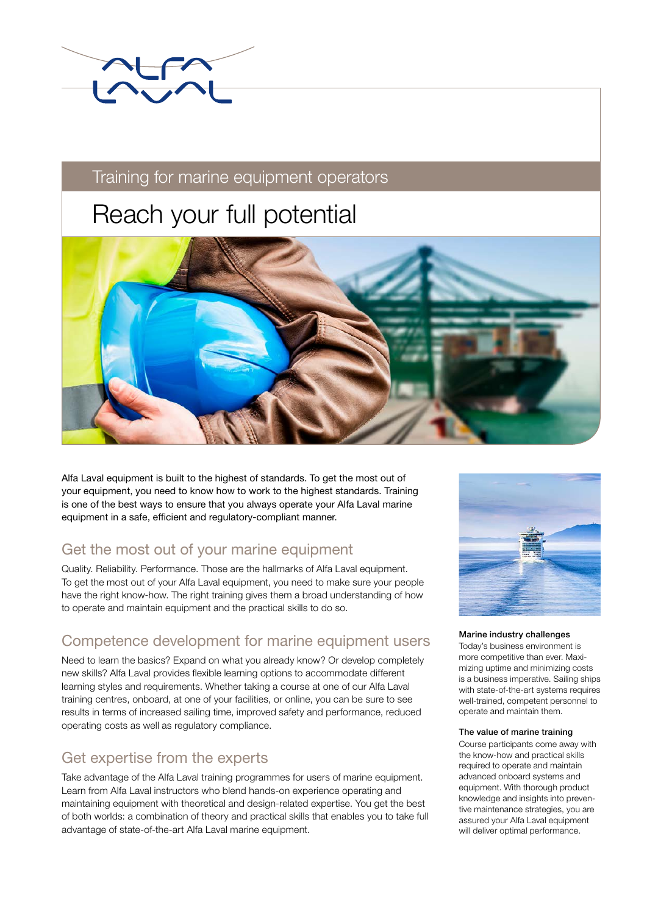

# Training for marine equipment operators

# Reach your full potential



Alfa Laval equipment is built to the highest of standards. To get the most out of your equipment, you need to know how to work to the highest standards. Training is one of the best ways to ensure that you always operate your Alfa Laval marine equipment in a safe, efficient and regulatory-compliant manner.

# Get the most out of your marine equipment

Quality. Reliability. Performance. Those are the hallmarks of Alfa Laval equipment. To get the most out of your Alfa Laval equipment, you need to make sure your people have the right know-how. The right training gives them a broad understanding of how to operate and maintain equipment and the practical skills to do so.

# Competence development for marine equipment users

Need to learn the basics? Expand on what you already know? Or develop completely new skills? Alfa Laval provides flexible learning options to accommodate different learning styles and requirements. Whether taking a course at one of our Alfa Laval training centres, onboard, at one of your facilities, or online, you can be sure to see results in terms of increased sailing time, improved safety and performance, reduced operating costs as well as regulatory compliance.

# Get expertise from the experts

Take advantage of the Alfa Laval training programmes for users of marine equipment. Learn from Alfa Laval instructors who blend hands-on experience operating and maintaining equipment with theoretical and design-related expertise. You get the best of both worlds: a combination of theory and practical skills that enables you to take full advantage of state-of-the-art Alfa Laval marine equipment.



Marine industry challenges

Today's business environment is more competitive than ever. Maximizing uptime and minimizing costs is a business imperative. Sailing ships with state-of-the-art systems requires well-trained, competent personnel to operate and maintain them.

#### The value of marine training

Course participants come away with the know-how and practical skills required to operate and maintain advanced onboard systems and equipment. With thorough product knowledge and insights into preventive maintenance strategies, you are assured your Alfa Laval equipment will deliver optimal performance.